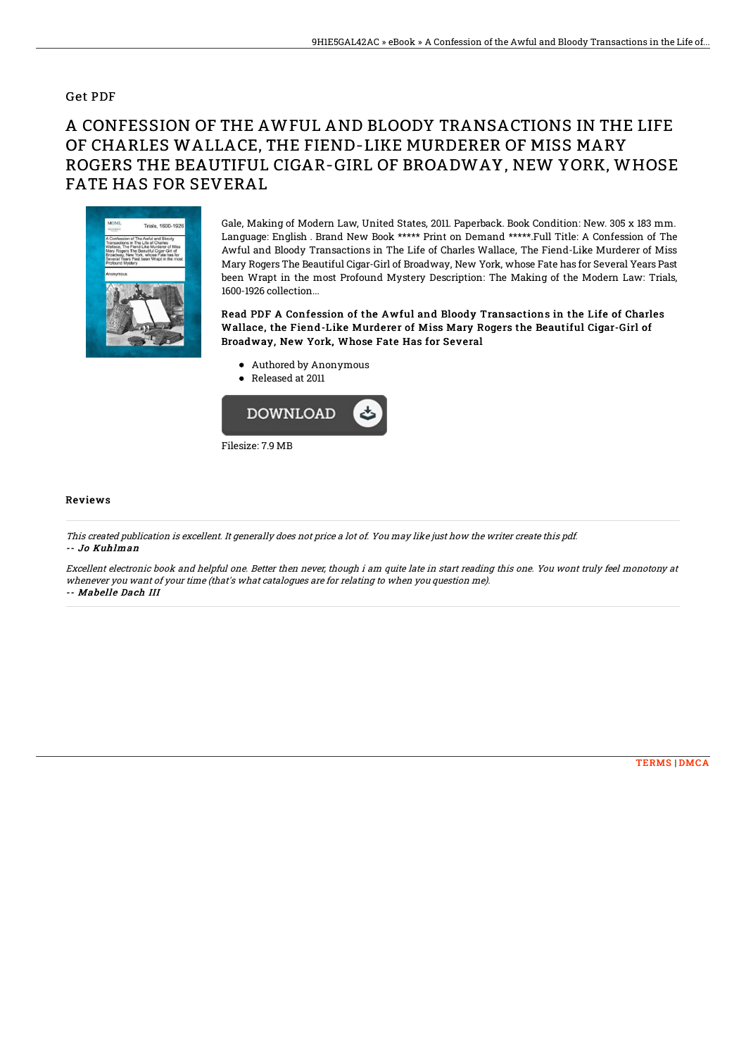## Get PDF

## A CONFESSION OF THE AWFUL AND BLOODY TRANSACTIONS IN THE LIFE OF CHARLES WALLACE, THE FIEND-LIKE MURDERER OF MISS MARY ROGERS THE BEAUTIFUL CIGAR-GIRL OF BROADWAY, NEW YORK, WHOSE FATE HAS FOR SEVERAL



Gale, Making of Modern Law, United States, 2011. Paperback. Book Condition: New. 305 x 183 mm. Language: English . Brand New Book \*\*\*\*\* Print on Demand \*\*\*\*\*.Full Title: A Confession of The Awful and Bloody Transactions in The Life of Charles Wallace, The Fiend-Like Murderer of Miss Mary Rogers The Beautiful Cigar-Girl of Broadway, New York, whose Fate has for Several Years Past been Wrapt in the most Profound Mystery Description: The Making of the Modern Law: Trials, 1600-1926 collection...

Read PDF A Confession of the Awful and Bloody Transactions in the Life of Charles Wallace, the Fiend-Like Murderer of Miss Mary Rogers the Beautiful Cigar-Girl of Broadway, New York, Whose Fate Has for Several

- Authored by Anonymous
- Released at 2011



## Reviews

This created publication is excellent. It generally does not price <sup>a</sup> lot of. You may like just how the writer create this pdf. -- Jo Kuhlman

Excellent electronic book and helpful one. Better then never, though i am quite late in start reading this one. You wont truly feel monotony at whenever you want of your time (that's what catalogues are for relating to when you question me). -- Mabelle Dach III